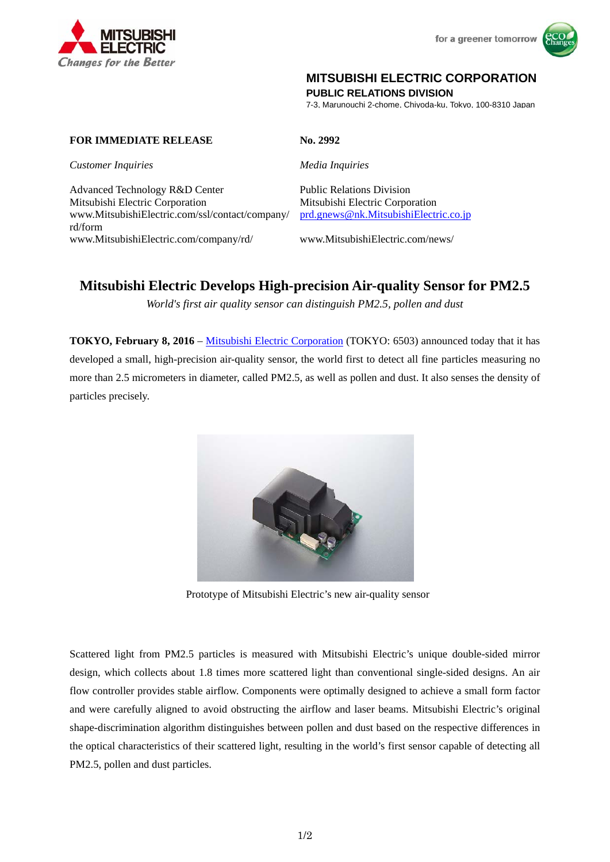



## **MITSUBISHI ELECTRIC CORPORATION**

**PUBLIC RELATIONS DIVISION** 

7-3, Marunouchi 2-chome, Chiyoda-ku, Tokyo, 100-8310 Japan

### **FOR IMMEDIATE RELEASE No. 2992**

*Customer Inquiries Media Inquiries*

Advanced Technology R&D Center Public Relations Division Mitsubishi Electric Corporation Mitsubishi Electric Corporation www.MitsubishiElectric.com/ssl/contact/company/ rd/form www.MitsubishiElectric.com/company/rd/ www.MitsubishiElectric.com/news/

prd.gnews@nk.MitsubishiElectric.co.jp

# **Mitsubishi Electric Develops High-precision Air-quality Sensor for PM2.5**

*World's first air quality sensor can distinguish PM2.5, pollen and dust* 

**TOKYO, February 8, 2016** – Mitsubishi Electric Corporation (TOKYO: 6503) announced today that it has developed a small, high-precision air-quality sensor, the world first to detect all fine particles measuring no more than 2.5 micrometers in diameter, called PM2.5, as well as pollen and dust. It also senses the density of particles precisely.



Prototype of Mitsubishi Electric's new air-quality sensor

Scattered light from PM2.5 particles is measured with Mitsubishi Electric's unique double-sided mirror design, which collects about 1.8 times more scattered light than conventional single-sided designs. An air flow controller provides stable airflow. Components were optimally designed to achieve a small form factor and were carefully aligned to avoid obstructing the airflow and laser beams. Mitsubishi Electric's original shape-discrimination algorithm distinguishes between pollen and dust based on the respective differences in the optical characteristics of their scattered light, resulting in the world's first sensor capable of detecting all PM2.5, pollen and dust particles.